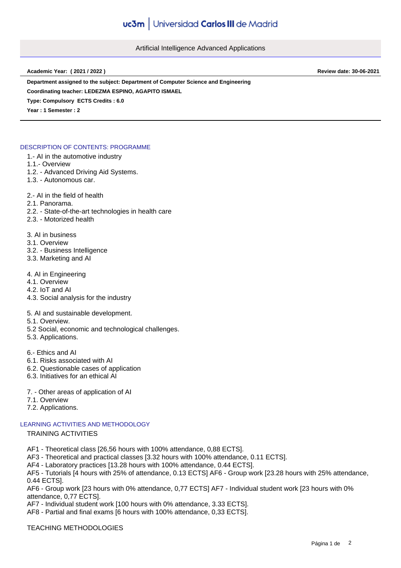Artificial Intelligence Advanced Applications

**Academic Year: ( 2021 / 2022 ) Review date: 30-06-2021**

**Department assigned to the subject: Department of Computer Science and Engineering**

**Coordinating teacher: LEDEZMA ESPINO, AGAPITO ISMAEL**

**Type: Compulsory ECTS Credits : 6.0**

**Year : 1 Semester : 2**

## DESCRIPTION OF CONTENTS: PROGRAMME

- 1.- AI in the automotive industry
- 1.1.- Overview
- 1.2. Advanced Driving Aid Systems.
- 1.3. Autonomous car.
- 2.- AI in the field of health
- 2.1. Panorama.
- 2.2. State-of-the-art technologies in health care
- 2.3. Motorized health
- 3. AI in business
- 3.1. Overview
- 3.2. Business Intelligence
- 3.3. Marketing and AI
- 4. AI in Engineering
- 4.1. Overview
- 4.2. IoT and AI
- 4.3. Social analysis for the industry
- 5. AI and sustainable development.
- 5.1. Overview.
- 5.2 Social, economic and technological challenges.
- 5.3. Applications.
- 6.- Ethics and AI
- 6.1. Risks associated with AI
- 6.2. Questionable cases of application
- 6.3. Initiatives for an ethical AI
- 7. Other areas of application of AI
- 7.1. Overview
- 7.2. Applications.

# LEARNING ACTIVITIES AND METHODOLOGY

# TRAINING ACTIVITIES

- AF1 Theoretical class [26,56 hours with 100% attendance, 0,88 ECTS].
- AF3 Theoretical and practical classes [3.32 hours with 100% attendance, 0.11 ECTS].
- AF4 Laboratory practices [13.28 hours with 100% attendance, 0.44 ECTS].

AF5 - Tutorials [4 hours with 25% of attendance, 0.13 ECTS] AF6 - Group work [23.28 hours with 25% attendance, 0.44 ECTS].

AF6 - Group work [23 hours with 0% attendance, 0,77 ECTS] AF7 - Individual student work [23 hours with 0% attendance, 0,77 ECTS].

AF7 - Individual student work [100 hours with 0% attendance, 3.33 ECTS].

AF8 - Partial and final exams [6 hours with 100% attendance, 0,33 ECTS].